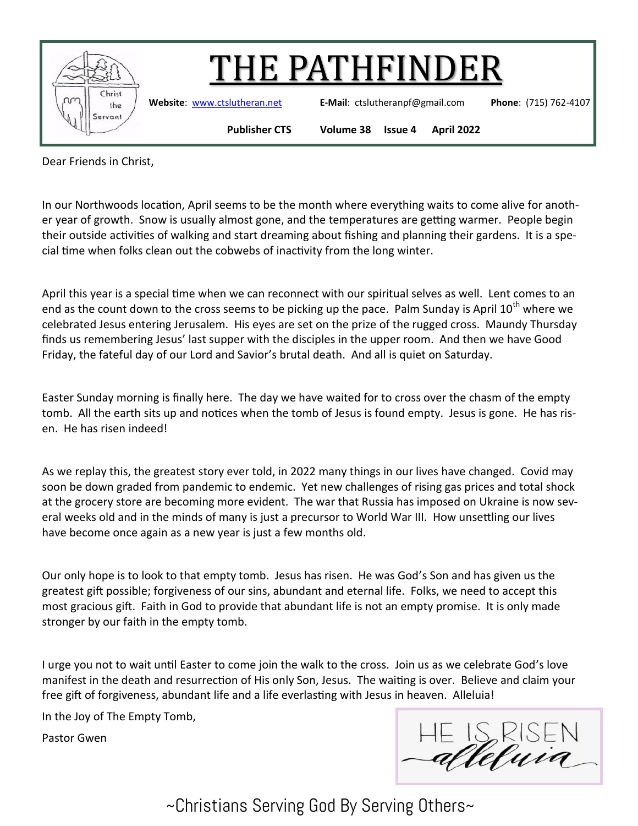

Dear Friends in Christ,

In our Northwoods location, April seems to be the month where everything waits to come alive for another year of growth. Snow is usually almost gone, and the temperatures are getting warmer. People begin their outside activities of walking and start dreaming about fishing and planning their gardens. It is a special time when folks clean out the cobwebs of inactivity from the long winter.

April this year is a special time when we can reconnect with our spiritual selves as well. Lent comes to an end as the count down to the cross seems to be picking up the pace. Palm Sunday is April 10<sup>th</sup> where we celebrated Jesus entering Jerusalem. His eyes are set on the prize of the rugged cross. Maundy Thursday finds us remembering Jesus' last supper with the disciples in the upper room. And then we have Good Friday, the fateful day of our Lord and Savior's brutal death. And all is quiet on Saturday.

Easter Sunday morning is finally here. The day we have waited for to cross over the chasm of the empty tomb. All the earth sits up and notices when the tomb of Jesus is found empty. Jesus is gone. He has risen. He has risen indeed!

As we replay this, the greatest story ever told, in 2022 many things in our lives have changed. Covid may soon be down graded from pandemic to endemic. Yet new challenges of rising gas prices and total shock at the grocery store are becoming more evident. The war that Russia has imposed on Ukraine is now several weeks old and in the minds of many is just a precursor to World War III. How unsettling our lives have become once again as a new year is just a few months old.

Our only hope is to look to that empty tomb. Jesus has risen. He was God's Son and has given us the greatest gift possible; forgiveness of our sins, abundant and eternal life. Folks, we need to accept this most gracious gift. Faith in God to provide that abundant life is not an empty promise. It is only made stronger by our faith in the empty tomb.

I urge you not to wait until Easter to come join the walk to the cross. Join us as we celebrate God's love manifest in the death and resurrection of His only Son, Jesus. The waiting is over. Believe and claim your free gift of forgiveness, abundant life and a life everlasting with Jesus in heaven. Alleluia!

In the Joy of The Empty Tomb,

Pastor Gwen

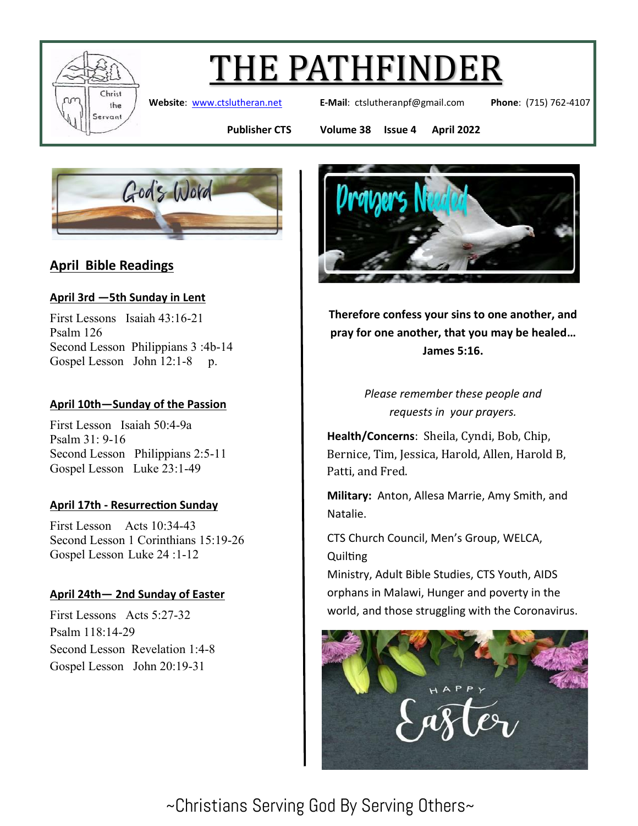

# THE PATHFINDER

**Website**: [www.ctslutheran.net](http://www.ctslutheran.net/) **E-Mail**: ctslutheranpf@gmail.com **Phone**: (715) 762-4107

**Publisher CTS Volume 38 Issue 4 April 2022**



### **April Bible Readings**

#### **April 3rd —5th Sunday in Lent**

First Lessons Isaiah 43:16-21 Psalm 126 Second Lesson Philippians 3 :4b-14 Gospel Lesson John 12:1-8 p.

#### **April 10th—Sunday of the Passion**

First Lesson Isaiah 50:4-9a Psalm 31: 9-16 Second Lesson Philippians 2:5-11 Gospel Lesson Luke 23:1-49

#### **April 17th - Resurrection Sunday**

First Lesson Acts 10:34-43 Second Lesson 1 Corinthians 15:19-26 Gospel Lesson Luke 24 :1-12

#### **April 24th— 2nd Sunday of Easter**

First Lessons Acts 5:27-32 Psalm 118:14-29 Second Lesson Revelation 1:4-8 Gospel Lesson John 20:19-31



**Therefore confess your sins to one another, and pray for one another, that you may be healed… James 5:16.**

> *Please remember these people and requests in your prayers.*

**Health/Concerns**: Sheila, Cyndi, Bob, Chip, Bernice, Tim, Jessica, Harold, Allen, Harold B, Patti, and Fred.

**Military:** Anton, Allesa Marrie, Amy Smith, and Natalie.

CTS Church Council, Men's Group, WELCA, **Quilting** 

Ministry, Adult Bible Studies, CTS Youth, AIDS orphans in Malawi, Hunger and poverty in the world, and those struggling with the Coronavirus.

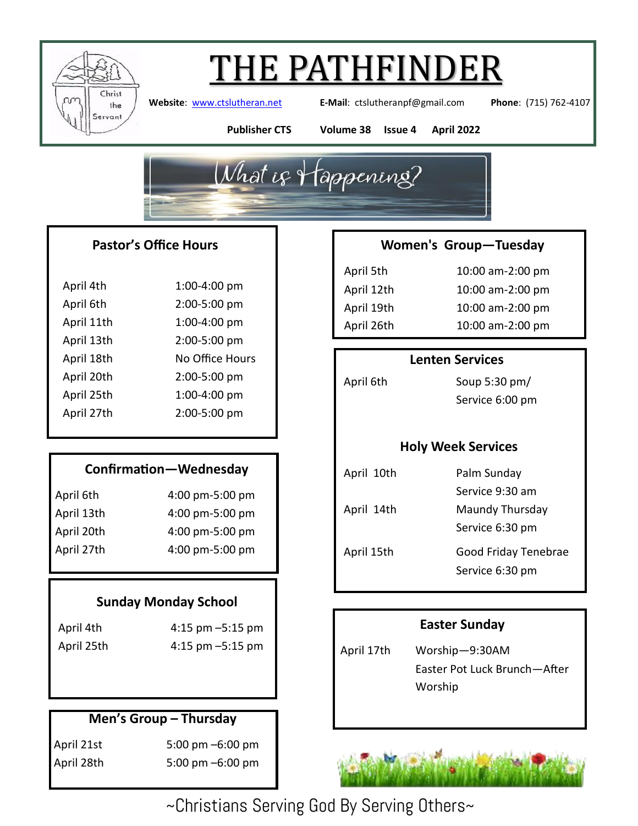

# THE PATHFINDER

**Website**: [www.ctslutheran.net](http://www.ctslutheran.net/) **E-Mail**: ctslutheranpf@gmail.com **Phone**: (715) 762-4107

**Publisher CTS Volume 38 Issue 4 April 2022**



#### **Pastor's Office Hours**

| April 4th  | 1:00-4:00 pm    |
|------------|-----------------|
| April 6th  | 2:00-5:00 pm    |
| April 11th | 1:00-4:00 pm    |
| April 13th | 2:00-5:00 pm    |
| April 18th | No Office Hours |
| April 20th | 2:00-5:00 pm    |
| April 25th | 1:00-4:00 pm    |
| April 27th | 2:00-5:00 pm    |
|            |                 |

### **Confirmation—Wednesday**

| April 6th  | 4:00 pm-5:00 pm |
|------------|-----------------|
| April 13th | 4:00 pm-5:00 pm |
| April 20th | 4:00 pm-5:00 pm |
| April 27th | 4:00 pm-5:00 pm |

#### **Sunday Monday School**

April 4th 4:15 pm –5:15 pm April 25th 4:15 pm –5:15 pm

### **Men's Group – Thursday**

April 21st 5:00 pm –6:00 pm April 28th 5:00 pm –6:00 pm

#### **Women's Group—Tuesday**

April 5th 10:00 am-2:00 pm April 12th 10:00 am-2:00 pm April 19th 10:00 am-2:00 pm April 26th 10:00 am-2:00 pm

#### **Lenten Services**

April 6th Soup 5:30 pm/ Service 6:00 pm

#### **Holy Week Services**

| April 10th | Palm Sunday          |
|------------|----------------------|
|            | Service 9:30 am      |
| April 14th | Maundy Thursday      |
|            | Service 6:30 pm      |
| April 15th | Good Friday Tenebrae |
|            | Service 6:30 pm      |
|            |                      |

#### **Easter Sunday**

April 17th Worship—9:30AM Easter Pot Luck Brunch—After Worship

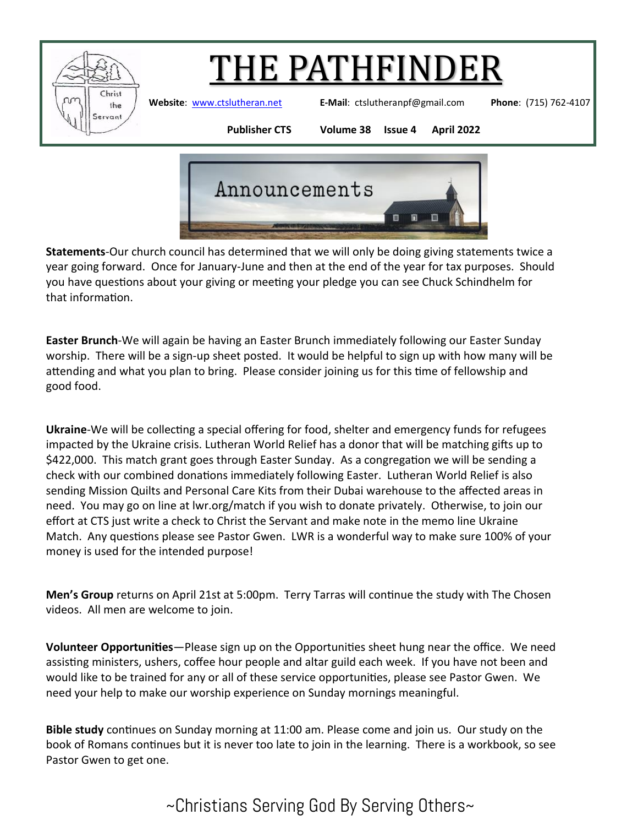

# **HE PATHFINDER**

**Website**: [www.ctslutheran.net](http://www.ctslutheran.net/) **E-Mail**: ctslutheranpf@gmail.com **Phone**: (715) 762-4107

**Publisher CTS Volume 38 Issue 4 April 2022**



**Statements**-Our church council has determined that we will only be doing giving statements twice a year going forward. Once for January-June and then at the end of the year for tax purposes. Should you have questions about your giving or meeting your pledge you can see Chuck Schindhelm for that information.

**Easter Brunch**-We will again be having an Easter Brunch immediately following our Easter Sunday worship. There will be a sign-up sheet posted. It would be helpful to sign up with how many will be attending and what you plan to bring. Please consider joining us for this time of fellowship and good food.

**Ukraine**-We will be collecting a special offering for food, shelter and emergency funds for refugees impacted by the Ukraine crisis. Lutheran World Relief has a donor that will be matching gifts up to \$422,000. This match grant goes through Easter Sunday. As a congregation we will be sending a check with our combined donations immediately following Easter. Lutheran World Relief is also sending Mission Quilts and Personal Care Kits from their Dubai warehouse to the affected areas in need. You may go on line at lwr.org/match if you wish to donate privately. Otherwise, to join our effort at CTS just write a check to Christ the Servant and make note in the memo line Ukraine Match. Any questions please see Pastor Gwen. LWR is a wonderful way to make sure 100% of your money is used for the intended purpose!

**Men's Group** returns on April 21st at 5:00pm. Terry Tarras will continue the study with The Chosen videos. All men are welcome to join.

**Volunteer Opportunities**—Please sign up on the Opportunities sheet hung near the office. We need assisting ministers, ushers, coffee hour people and altar guild each week. If you have not been and would like to be trained for any or all of these service opportunities, please see Pastor Gwen. We need your help to make our worship experience on Sunday mornings meaningful.

**Bible study** continues on Sunday morning at 11:00 am. Please come and join us. Our study on the book of Romans continues but it is never too late to join in the learning. There is a workbook, so see Pastor Gwen to get one.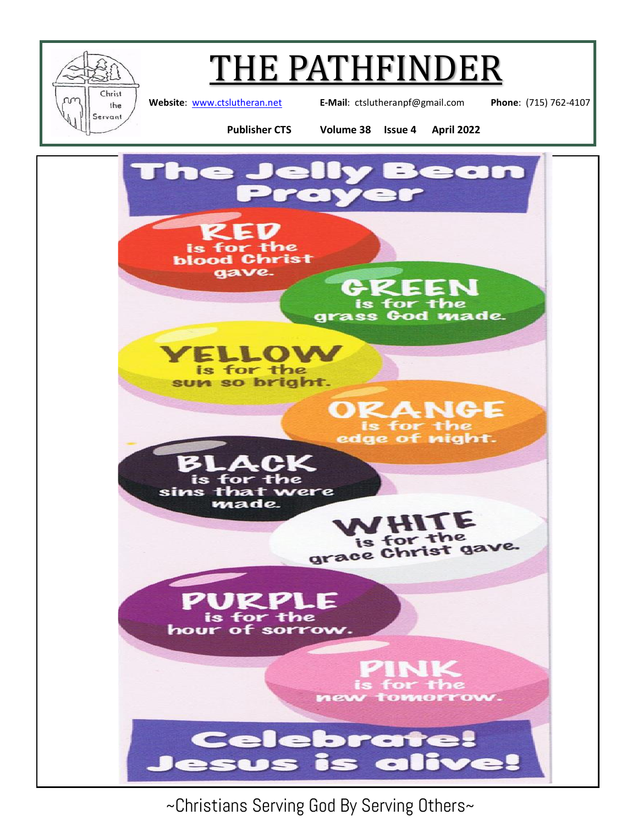

## THE PATHFINDER

**Website**: [www.ctslutheran.net](http://www.ctslutheran.net/) **E-Mail**: ctslutheranpf@gmail.com **Phone**: (715) 762-4107

**Publisher CTS Volume 38 Issue 4 April 2022**



~Christians Serving God By Serving Others~

 $\sim$ 

 $\bullet$ 

E

Ce

esus